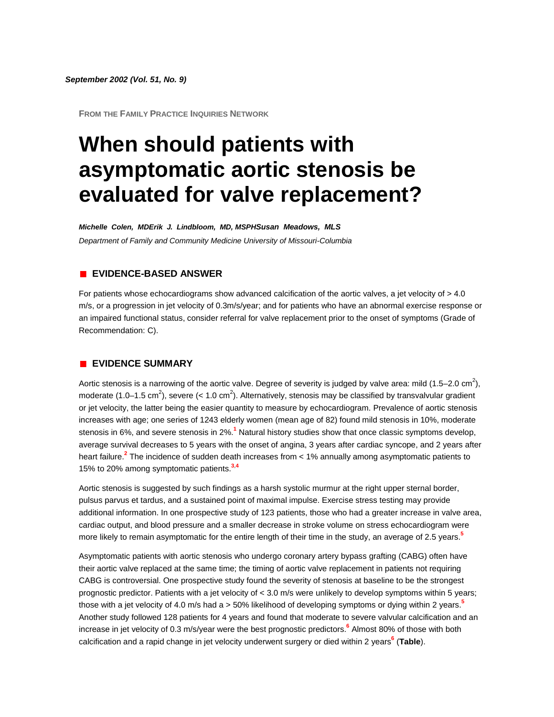#### *September 2002 (Vol. 51, No. 9)*

**FROM THE FAMILY PRACTICE INQUIRIES NETWORK**

# **When should patients with asymptomatic aortic stenosis be evaluated for valve replacement?**

*Michelle Colen, MDErik J. Lindbloom, MD, MSPHSusan Meadows, MLS Department of Family and Community Medicine University of Missouri-Columbia*

## **EVIDENCE-BASED ANSWER**

For patients whose echocardiograms show advanced calcification of the aortic valves, a jet velocity of  $> 4.0$ m/s, or a progression in jet velocity of 0.3m/s/year; and for patients who have an abnormal exercise response or an impaired functional status, consider referral for valve replacement prior to the onset of symptoms (Grade of Recommendation: C).

#### **EVIDENCE SUMMARY**

Aortic stenosis is a narrowing of the aortic valve. Degree of severity is judged by valve area: mild (1.5–2.0 cm<sup>2</sup>), moderate (1.0–1.5 cm<sup>2</sup>), severe (< 1.0 cm<sup>2</sup>). Alternatively, stenosis may be classified by transvalvular gradient or jet velocity, the latter being the easier quantity to measure by echocardiogram. Prevalence of aortic stenosis increases with age; one series of 1243 elderly women (mean age of 82) found mild stenosis in 10%, moderate stenosis in 6%, and severe stenosis in 2[%.](http://www.jfponline.com/Pages.asp?AID=1277&issue=September_2002&UID=#bib1)**<sup>1</sup>** Natural history studies show that once classic symptoms develop, average survival decreases to 5 years with the onset of angina, 3 years after cardiac syncope, and 2 years after heart failure.**[2](http://www.jfponline.com/Pages.asp?AID=1277&issue=September_2002&UID=#bib2)** The incidence of sudden death increases from < 1% annually among asymptomatic patients to 15% to 20% among symptomatic patient[s.](http://www.jfponline.com/Pages.asp?AID=1277&issue=September_2002&UID=#bib3)**<sup>3</sup>**,**[4](http://www.jfponline.com/Pages.asp?AID=1277&issue=September_2002&UID=#bib4)**

Aortic stenosis is suggested by such findings as a harsh systolic murmur at the right upper sternal border, pulsus parvus et tardus, and a sustained point of maximal impulse. Exercise stress testing may provide additional information. In one prospective study of 123 patients, those who had a greater increase in valve area, cardiac output, and blood pressure and a smaller decrease in stroke volume on stress echocardiogram were more likely to remain asymptomatic for the entire length of their time in the study, an average of 2.5 year[s.](http://www.jfponline.com/Pages.asp?AID=1277&issue=September_2002&UID=#bib5)**<sup>5</sup>**

Asymptomatic patients with aortic stenosis who undergo coronary artery bypass grafting (CABG) often have their aortic valve replaced at the same time; the timing of aortic valve replacement in patients not requiring CABG is controversial. One prospective study found the severity of stenosis at baseline to be the strongest prognostic predictor. Patients with a jet velocity of < 3.0 m/s were unlikely to develop symptoms within 5 years; those with a jet velocity of 4.0 m/s had a > 50% likelihood of developing symptoms or dying within 2 year[s.](http://www.jfponline.com/Pages.asp?AID=1277&issue=September_2002&UID=#bib5)**<sup>5</sup>** Another study followed 128 patients for 4 years and found that moderate to severe valvular calcification and an increase in jet velocity of 0.3 m/s/year were the best prognostic predictor[s.](http://www.jfponline.com/Pages.asp?AID=1277&issue=September_2002&UID=#bib6)**<sup>6</sup>** Almost 80% of those with both calcification and a rapid change in jet velocity underwent surgery or died within 2 year[s](http://www.jfponline.com/Pages.asp?AID=1277&issue=September_2002&UID=#bib6)**<sup>6</sup>** (**[Table](http://www.jfponline.com/Pages.asp?AID=1277&issue=September_2002&UID=#5109JFP_ClinicalInquiries1-tab1)**).